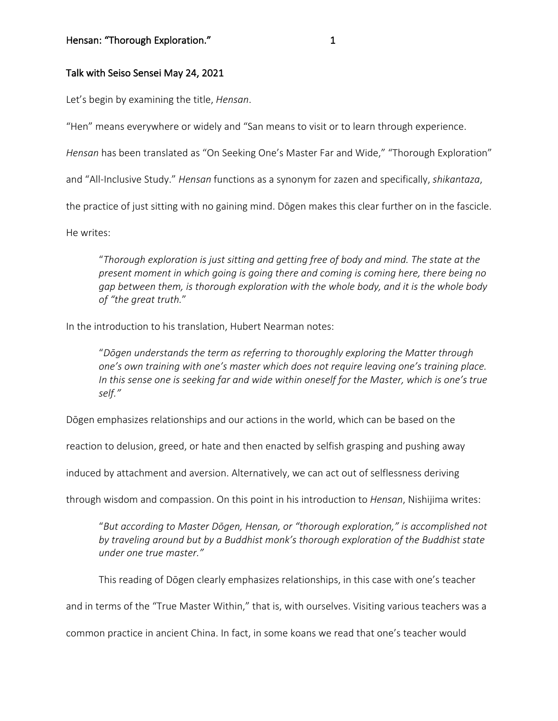## Talk with Seiso Sensei May 24, 2021

Let's begin by examining the title, *Hensan*.

"Hen" means everywhere or widely and "San means to visit or to learn through experience.

*Hensan* has been translated as "On Seeking One's Master Far and Wide," "Thorough Exploration"

and "All-Inclusive Study." *Hensan* functions as a synonym for zazen and specifically, *shikantaza*,

the practice of just sitting with no gaining mind. Dōgen makes this clear further on in the fascicle.

He writes:

"*Thorough exploration is just sitting and getting free of body and mind. The state at the present moment in which going is going there and coming is coming here, there being no gap between them, is thorough exploration with the whole body, and it is the whole body of "the great truth.*"

In the introduction to his translation, Hubert Nearman notes:

"*Dōgen understands the term as referring to thoroughly exploring the Matter through one's own training with one's master which does not require leaving one's training place. In this sense one is seeking far and wide within oneself for the Master, which is one's true self."*

Dōgen emphasizes relationships and our actions in the world, which can be based on the

reaction to delusion, greed, or hate and then enacted by selfish grasping and pushing away

induced by attachment and aversion. Alternatively, we can act out of selflessness deriving

through wisdom and compassion. On this point in his introduction to *Hensan*, Nishijima writes:

"*But according to Master Dōgen, Hensan, or "thorough exploration," is accomplished not by traveling around but by a Buddhist monk's thorough exploration of the Buddhist state under one true master."*

This reading of Dōgen clearly emphasizes relationships, in this case with one's teacher

and in terms of the "True Master Within," that is, with ourselves. Visiting various teachers was a

common practice in ancient China. In fact, in some koans we read that one's teacher would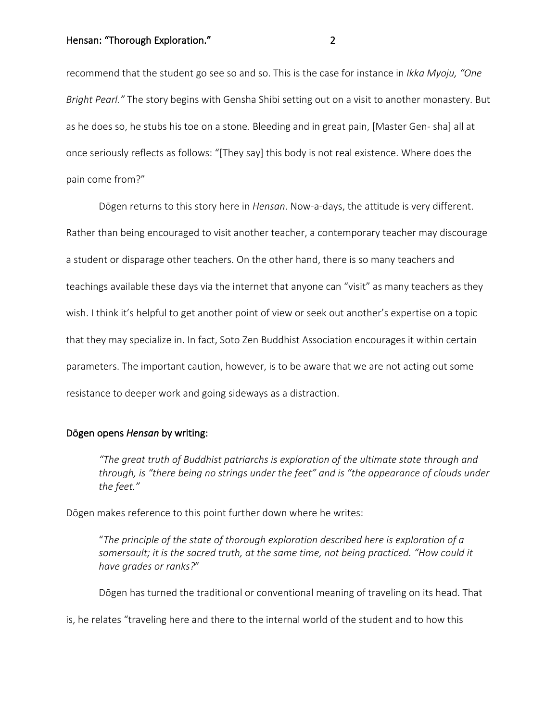### Hensan: "Thorough Exploration." The contract of the contract of the contract of the contract of the contract of the contract of the contract of the contract of the contract of the contract of the contract of the contract o

recommend that the student go see so and so. This is the case for instance in *Ikka Myoju, "One Bright Pearl."* The story begins with Gensha Shibi setting out on a visit to another monastery. But as he does so, he stubs his toe on a stone. Bleeding and in great pain, [Master Gen- sha] all at once seriously reflects as follows: "[They say] this body is not real existence. Where does the pain come from?"

Dōgen returns to this story here in *Hensan*. Now-a-days, the attitude is very different. Rather than being encouraged to visit another teacher, a contemporary teacher may discourage a student or disparage other teachers. On the other hand, there is so many teachers and teachings available these days via the internet that anyone can "visit" as many teachers as they wish. I think it's helpful to get another point of view or seek out another's expertise on a topic that they may specialize in. In fact, Soto Zen Buddhist Association encourages it within certain parameters. The important caution, however, is to be aware that we are not acting out some resistance to deeper work and going sideways as a distraction.

## Dōgen opens *Hensan* by writing:

*"The great truth of Buddhist patriarchs is exploration of the ultimate state through and through, is "there being no strings under the feet" and is "the appearance of clouds under the feet."*

Dōgen makes reference to this point further down where he writes:

"*The principle of the state of thorough exploration described here is exploration of a somersault; it is the sacred truth, at the same time, not being practiced. "How could it have grades or ranks?*"

Dōgen has turned the traditional or conventional meaning of traveling on its head. That

is, he relates "traveling here and there to the internal world of the student and to how this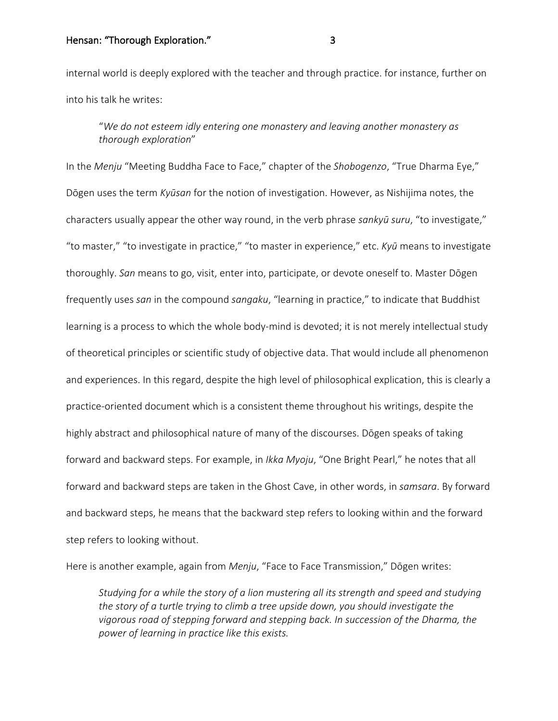## Hensan: "Thorough Exploration." The same state of the state of the state of the state of the state of the state of the state of the state of the state of the state of the state of the state of the state of the state of the

internal world is deeply explored with the teacher and through practice. for instance, further on into his talk he writes:

"*We do not esteem idly entering one monastery and leaving another monastery as thorough exploration*"

In the *Menju* "Meeting Buddha Face to Face," chapter of the *Shobogenzo*, "True Dharma Eye," Dōgen uses the term *Kyūsan* for the notion of investigation. However, as Nishijima notes, the characters usually appear the other way round, in the verb phrase *sankyū suru*, "to investigate," "to master," "to investigate in practice," "to master in experience," etc. *Kyū* means to investigate thoroughly. *San* means to go, visit, enter into, participate, or devote oneself to. Master Dōgen frequently uses *san* in the compound *sangaku*, "learning in practice," to indicate that Buddhist learning is a process to which the whole body-mind is devoted; it is not merely intellectual study of theoretical principles or scientific study of objective data. That would include all phenomenon and experiences. In this regard, despite the high level of philosophical explication, this is clearly a practice-oriented document which is a consistent theme throughout his writings, despite the highly abstract and philosophical nature of many of the discourses. Dōgen speaks of taking forward and backward steps. For example, in *Ikka Myoju*, "One Bright Pearl," he notes that all forward and backward steps are taken in the Ghost Cave, in other words, in *samsara*. By forward and backward steps, he means that the backward step refers to looking within and the forward step refers to looking without.

Here is another example, again from *Menju*, "Face to Face Transmission," Dōgen writes:

*Studying for a while the story of a lion mustering all its strength and speed and studying the story of a turtle trying to climb a tree upside down, you should investigate the vigorous road of stepping forward and stepping back. In succession of the Dharma, the power of learning in practice like this exists.*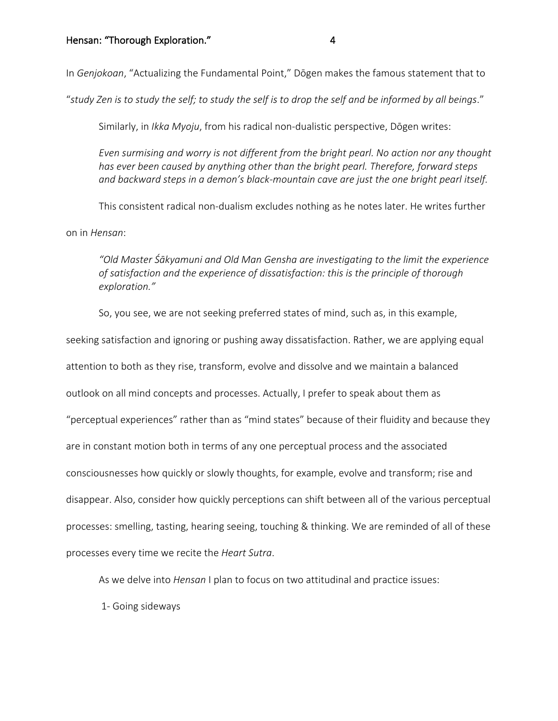In *Genjokoan*, "Actualizing the Fundamental Point," Dōgen makes the famous statement that to

"*study Zen is to study the self; to study the self is to drop the self and be informed by all beings*."

Similarly, in *Ikka Myoju*, from his radical non-dualistic perspective, Dōgen writes:

*Even surmising and worry is not different from the bright pearl. No action nor any thought has ever been caused by anything other than the bright pearl. Therefore, forward steps and backward steps in a demon's black-mountain cave are just the one bright pearl itself.*

This consistent radical non-dualism excludes nothing as he notes later. He writes further on in *Hensan*:

*"Old Master Śākyamuni and Old Man Gensha are investigating to the limit the experience of satisfaction and the experience of dissatisfaction: this is the principle of thorough exploration."*

So, you see, we are not seeking preferred states of mind, such as, in this example,

seeking satisfaction and ignoring or pushing away dissatisfaction. Rather, we are applying equal attention to both as they rise, transform, evolve and dissolve and we maintain a balanced outlook on all mind concepts and processes. Actually, I prefer to speak about them as "perceptual experiences" rather than as "mind states" because of their fluidity and because they are in constant motion both in terms of any one perceptual process and the associated consciousnesses how quickly or slowly thoughts, for example, evolve and transform; rise and disappear. Also, consider how quickly perceptions can shift between all of the various perceptual processes: smelling, tasting, hearing seeing, touching & thinking. We are reminded of all of these processes every time we recite the *Heart Sutra*.

As we delve into *Hensan* I plan to focus on two attitudinal and practice issues:

1- Going sideways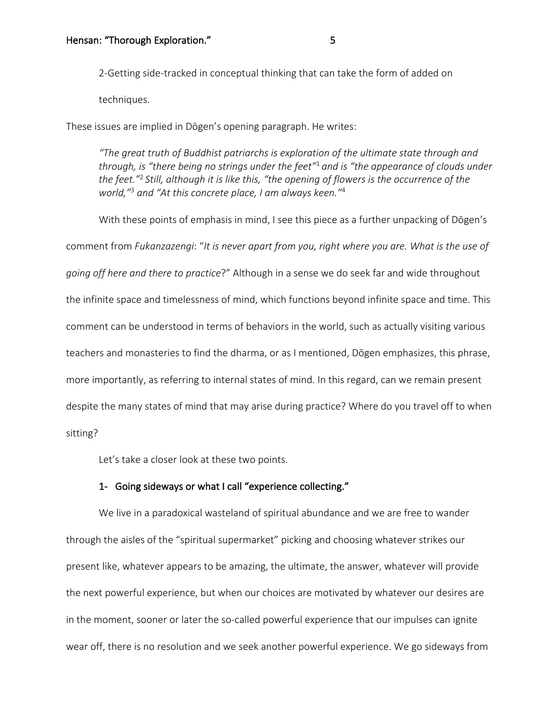2-Getting side-tracked in conceptual thinking that can take the form of added on

techniques.

These issues are implied in Dōgen's opening paragraph. He writes:

*"The great truth of Buddhist patriarchs is exploration of the ultimate state through and through, is "there being no strings under the feet"*<sup>1</sup>*and is "the appearance of clouds under the feet."*<sup>2</sup> *Still, although it is like this, "the opening of flowers is the occurrence of the world,"*<sup>3</sup> *and "At this concrete place, I am always keen."*<sup>4</sup>

With these points of emphasis in mind, I see this piece as a further unpacking of Dōgen's comment from *Fukanzazengi*: "*It is never apart from you, right where you are. What is the use of going off here and there to practice*?" Although in a sense we do seek far and wide throughout the infinite space and timelessness of mind, which functions beyond infinite space and time. This comment can be understood in terms of behaviors in the world, such as actually visiting various teachers and monasteries to find the dharma, or as I mentioned, Dōgen emphasizes, this phrase, more importantly, as referring to internal states of mind. In this regard, can we remain present despite the many states of mind that may arise during practice? Where do you travel off to when sitting?

Let's take a closer look at these two points.

## 1- Going sideways or what I call "experience collecting."

We live in a paradoxical wasteland of spiritual abundance and we are free to wander through the aisles of the "spiritual supermarket" picking and choosing whatever strikes our present like, whatever appears to be amazing, the ultimate, the answer, whatever will provide the next powerful experience, but when our choices are motivated by whatever our desires are in the moment, sooner or later the so-called powerful experience that our impulses can ignite wear off, there is no resolution and we seek another powerful experience. We go sideways from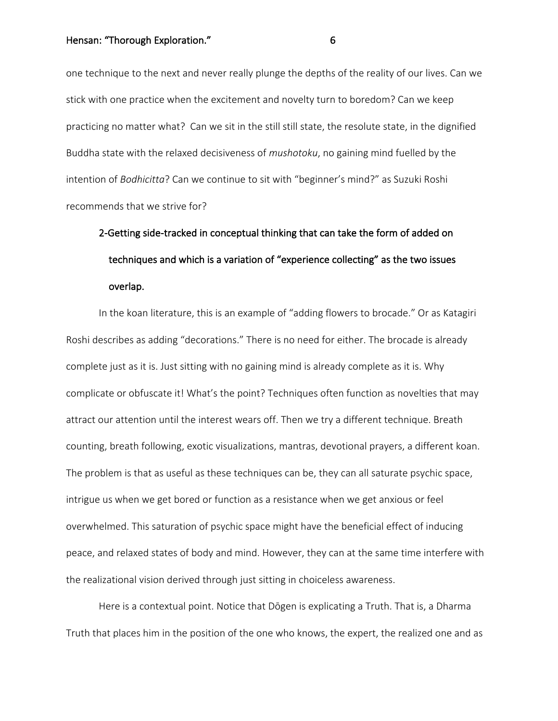one technique to the next and never really plunge the depths of the reality of our lives. Can we stick with one practice when the excitement and novelty turn to boredom? Can we keep practicing no matter what? Can we sit in the still still state, the resolute state, in the dignified Buddha state with the relaxed decisiveness of *mushotoku*, no gaining mind fuelled by the intention of *Bodhicitta*? Can we continue to sit with "beginner's mind?" as Suzuki Roshi recommends that we strive for?

# 2-Getting side-tracked in conceptual thinking that can take the form of added on techniques and which is a variation of "experience collecting" as the two issues overlap.

In the koan literature, this is an example of "adding flowers to brocade." Or as Katagiri Roshi describes as adding "decorations." There is no need for either. The brocade is already complete just as it is. Just sitting with no gaining mind is already complete as it is. Why complicate or obfuscate it! What's the point? Techniques often function as novelties that may attract our attention until the interest wears off. Then we try a different technique. Breath counting, breath following, exotic visualizations, mantras, devotional prayers, a different koan. The problem is that as useful as these techniques can be, they can all saturate psychic space, intrigue us when we get bored or function as a resistance when we get anxious or feel overwhelmed. This saturation of psychic space might have the beneficial effect of inducing peace, and relaxed states of body and mind. However, they can at the same time interfere with the realizational vision derived through just sitting in choiceless awareness.

Here is a contextual point. Notice that Dōgen is explicating a Truth. That is, a Dharma Truth that places him in the position of the one who knows, the expert, the realized one and as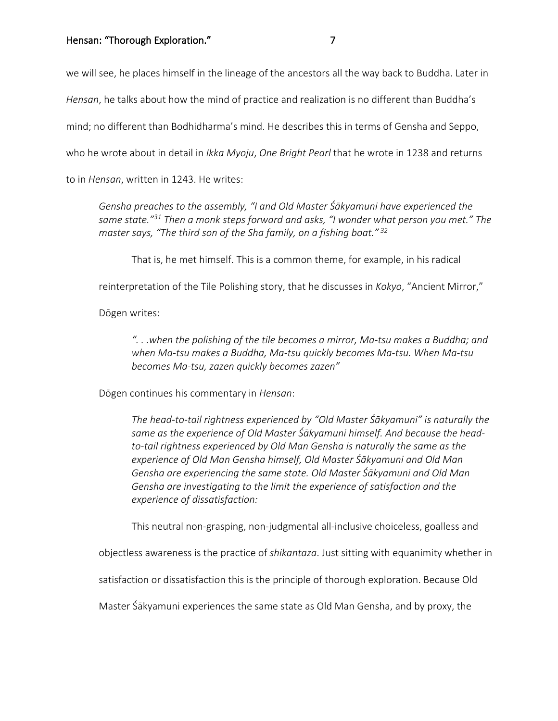we will see, he places himself in the lineage of the ancestors all the way back to Buddha. Later in

*Hensan*, he talks about how the mind of practice and realization is no different than Buddha's

mind; no different than Bodhidharma's mind. He describes this in terms of Gensha and Seppo,

who he wrote about in detail in *Ikka Myoju*, *One Bright Pearl* that he wrote in 1238 and returns

to in *Hensan*, written in 1243. He writes:

*Gensha preaches to the assembly, "I and Old Master Śākyamuni have experienced the same state."31 Then a monk steps forward and asks, "I wonder what person you met." The master says, "The third son of the Sha family, on a fishing boat." <sup>32</sup>*

That is, he met himself. This is a common theme, for example, in his radical

reinterpretation of the Tile Polishing story, that he discusses in *Kokyo*, "Ancient Mirror,"

Dōgen writes:

*". . .when the polishing of the tile becomes a mirror, Ma-tsu makes a Buddha; and when Ma-tsu makes a Buddha, Ma-tsu quickly becomes Ma-tsu. When Ma-tsu becomes Ma-tsu, zazen quickly becomes zazen"*

Dōgen continues his commentary in *Hensan*:

*The head-to-tail rightness experienced by "Old Master Śākyamuni" is naturally the same as the experience of Old Master Śākyamuni himself. And because the headto-tail rightness experienced by Old Man Gensha is naturally the same as the experience of Old Man Gensha himself, Old Master Śākyamuni and Old Man Gensha are experiencing the same state. Old Master Śākyamuni and Old Man Gensha are investigating to the limit the experience of satisfaction and the experience of dissatisfaction:* 

This neutral non-grasping, non-judgmental all-inclusive choiceless, goalless and

objectless awareness is the practice of *shikantaza*. Just sitting with equanimity whether in

satisfaction or dissatisfaction this is the principle of thorough exploration. Because Old

Master Śākyamuni experiences the same state as Old Man Gensha, and by proxy, the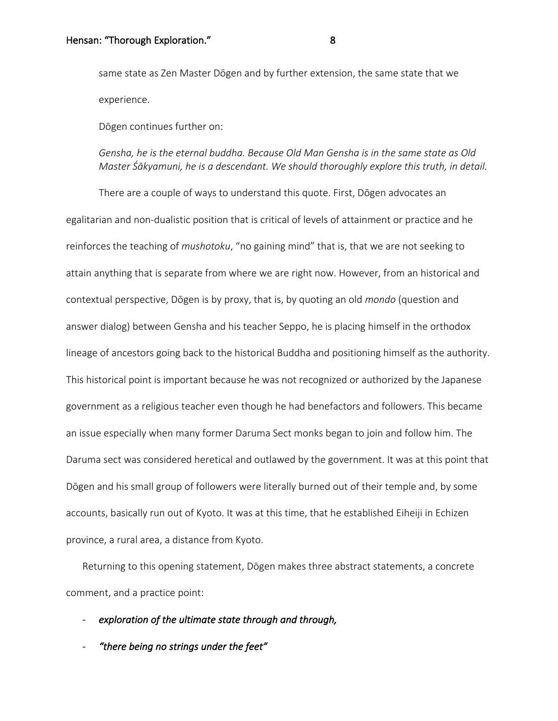same state as Zen Master Dōgen and by further extension, the same state that we experience.

Dōgen continues further on:

# *Gensha, he is the eternal buddha. Because Old Man Gensha is in the same state as Old Master Śākyamuni, he is a descendant. We should thoroughly explore this truth, in detail.*

There are a couple of ways to understand this quote. First, Dōgen advocates an egalitarian and non-dualistic position that is critical of levels of attainment or practice and he reinforces the teaching of *mushotoku*, "no gaining mind" that is, that we are not seeking to attain anything that is separate from where we are right now. However, from an historical and contextual perspective, Dōgen is by proxy, that is, by quoting an old *mondo* (question and answer dialog) between Gensha and his teacher Seppo, he is placing himself in the orthodox lineage of ancestors going back to the historical Buddha and positioning himself as the authority. This historical point is important because he was not recognized or authorized by the Japanese government as a religious teacher even though he had benefactors and followers. This became an issue especially when many former Daruma Sect monks began to join and follow him. The Daruma sect was considered heretical and outlawed by the government. It was at this point that Dōgen and his small group of followers were literally burned out of their temple and, by some accounts, basically run out of Kyoto. It was at this time, that he established Eiheiji in Echizen province, a rural area, a distance from Kyoto.

Returning to this opening statement, Dōgen makes three abstract statements, a concrete comment, and a practice point:

- *exploration of the ultimate state through and through,* 

- *"there being no strings under the feet"*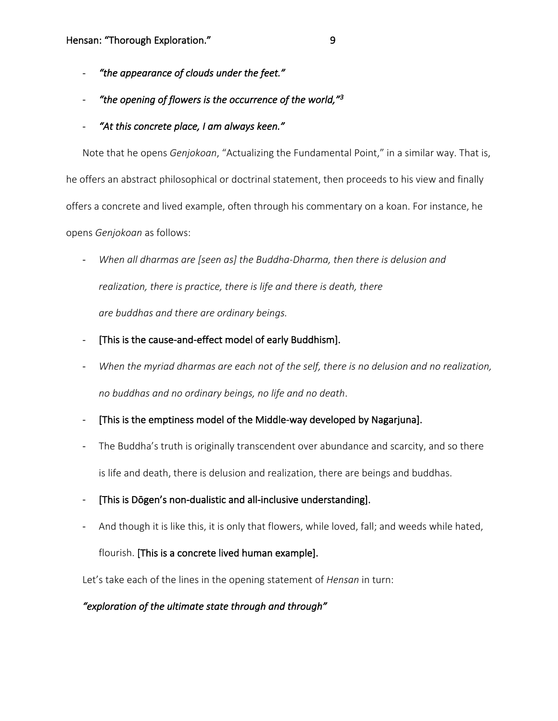- *"the appearance of clouds under the feet."*
- *"the opening of flowers is the occurrence of the world,"3*
- *"At this concrete place, I am always keen."*

Note that he opens *Genjokoan*, "Actualizing the Fundamental Point," in a similar way. That is, he offers an abstract philosophical or doctrinal statement, then proceeds to his view and finally offers a concrete and lived example, often through his commentary on a koan. For instance, he opens *Genjokoan* as follows:

- When all dharmas are [seen as] the Buddha-Dharma, then there is delusion and *realization, there is practice, there is life and there is death, there are buddhas and there are ordinary beings.*
- [This is the cause-and-effect model of early Buddhism].
- When the myriad dharmas are each not of the self, there is no delusion and no realization, *no buddhas and no ordinary beings, no life and no death*.
- [This is the emptiness model of the Middle-way developed by Nagarjuna].
- The Buddha's truth is originally transcendent over abundance and scarcity, and so there is life and death, there is delusion and realization, there are beings and buddhas.
- [This is Dōgen's non-dualistic and all-inclusive understanding].
- And though it is like this, it is only that flowers, while loved, fall; and weeds while hated,

# flourish. [This is a concrete lived human example].

Let's take each of the lines in the opening statement of *Hensan* in turn:

# *"exploration of the ultimate state through and through"*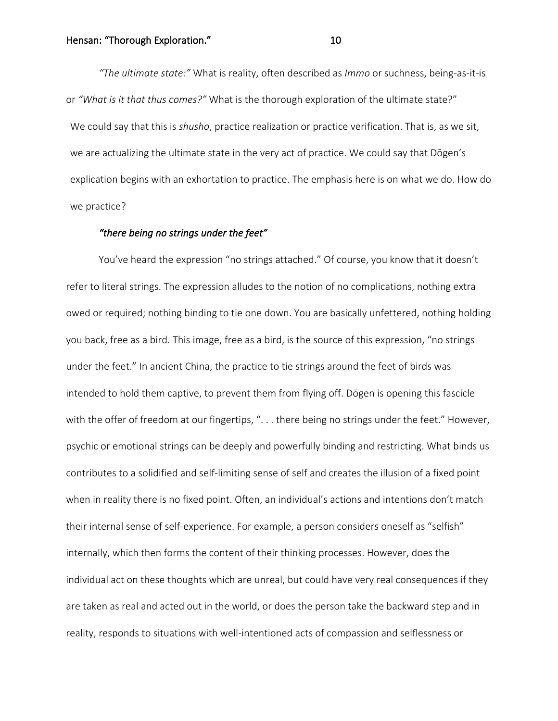*"The ultimate state:"* What is reality, often described as *Immo* or suchness, being-as-it-is or *"What is it that thus comes?"* What is the thorough exploration of the ultimate state?" We could say that this is *shusho*, practice realization or practice verification. That is, as we sit, we are actualizing the ultimate state in the very act of practice. We could say that Dōgen's explication begins with an exhortation to practice. The emphasis here is on what we do. How do we practice?

#### *"there being no strings under the feet"*

You've heard the expression "no strings attached." Of course, you know that it doesn't refer to literal strings. The expression alludes to the notion of no complications, nothing extra owed or required; nothing binding to tie one down. You are basically unfettered, nothing holding you back, free as a bird. This image, free as a bird, is the source of this expression, "no strings under the feet." In ancient China, the practice to tie strings around the feet of birds was intended to hold them captive, to prevent them from flying off. Dōgen is opening this fascicle with the offer of freedom at our fingertips, ". . . there being no strings under the feet." However, psychic or emotional strings can be deeply and powerfully binding and restricting. What binds us contributes to a solidified and self-limiting sense of self and creates the illusion of a fixed point when in reality there is no fixed point. Often, an individual's actions and intentions don't match their internal sense of self-experience. For example, a person considers oneself as "selfish" internally, which then forms the content of their thinking processes. However, does the individual act on these thoughts which are unreal, but could have very real consequences if they are taken as real and acted out in the world, or does the person take the backward step and in reality, responds to situations with well-intentioned acts of compassion and selflessness or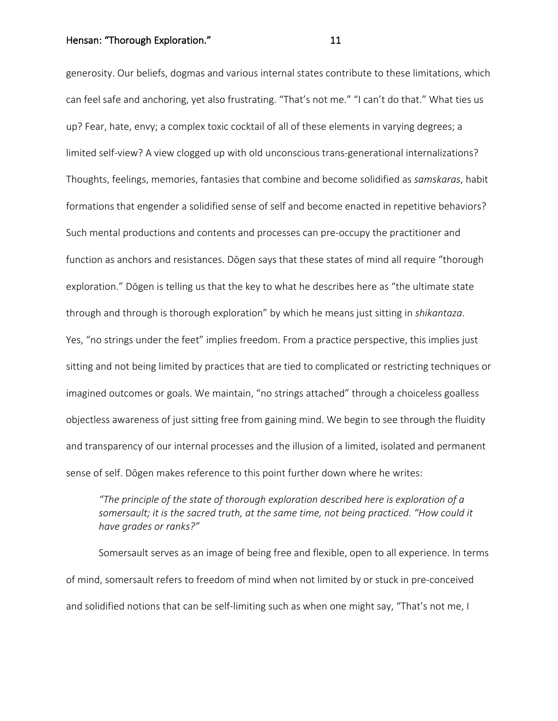Hensan: "Thorough Exploration." 
11

generosity. Our beliefs, dogmas and various internal states contribute to these limitations, which can feel safe and anchoring, yet also frustrating. "That's not me." "I can't do that." What ties us up? Fear, hate, envy; a complex toxic cocktail of all of these elements in varying degrees; a limited self-view? A view clogged up with old unconscious trans-generational internalizations? Thoughts, feelings, memories, fantasies that combine and become solidified as *samskaras*, habit formations that engender a solidified sense of self and become enacted in repetitive behaviors? Such mental productions and contents and processes can pre-occupy the practitioner and function as anchors and resistances. Dōgen says that these states of mind all require "thorough exploration." Dōgen is telling us that the key to what he describes here as "the ultimate state through and through is thorough exploration" by which he means just sitting in *shikantaza*. Yes, "no strings under the feet" implies freedom. From a practice perspective, this implies just sitting and not being limited by practices that are tied to complicated or restricting techniques or imagined outcomes or goals. We maintain, "no strings attached" through a choiceless goalless objectless awareness of just sitting free from gaining mind. We begin to see through the fluidity and transparency of our internal processes and the illusion of a limited, isolated and permanent sense of self. Dōgen makes reference to this point further down where he writes:

*"The principle of the state of thorough exploration described here is exploration of a somersault; it is the sacred truth, at the same time, not being practiced. "How could it have grades or ranks?"*

Somersault serves as an image of being free and flexible, open to all experience. In terms of mind, somersault refers to freedom of mind when not limited by or stuck in pre-conceived and solidified notions that can be self-limiting such as when one might say, "That's not me, I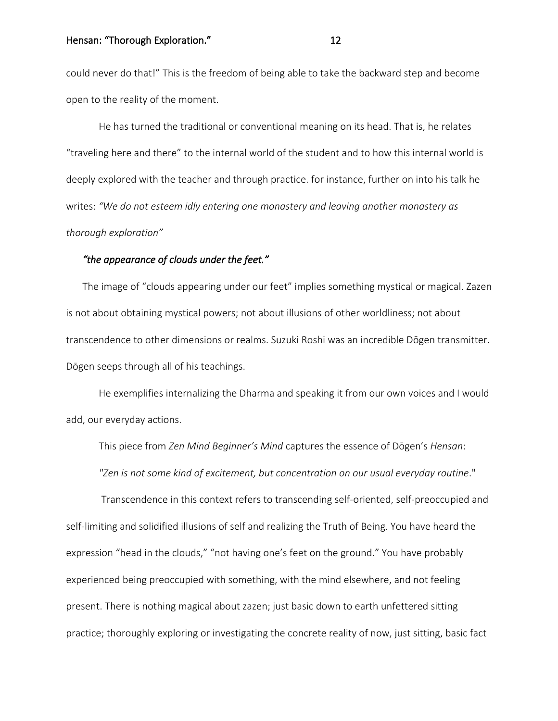could never do that!" This is the freedom of being able to take the backward step and become open to the reality of the moment.

He has turned the traditional or conventional meaning on its head. That is, he relates "traveling here and there" to the internal world of the student and to how this internal world is deeply explored with the teacher and through practice. for instance, further on into his talk he writes: *"We do not esteem idly entering one monastery and leaving another monastery as thorough exploration"*

#### *"the appearance of clouds under the feet."*

The image of "clouds appearing under our feet" implies something mystical or magical. Zazen is not about obtaining mystical powers; not about illusions of other worldliness; not about transcendence to other dimensions or realms. Suzuki Roshi was an incredible Dōgen transmitter. Dōgen seeps through all of his teachings.

He exemplifies internalizing the Dharma and speaking it from our own voices and I would add, our everyday actions.

This piece from *Zen Mind Beginner's Mind* captures the essence of Dōgen's *Hensan*: *"Zen is not some kind of excitement, but concentration on our usual everyday routine*."

Transcendence in this context refers to transcending self-oriented, self-preoccupied and self-limiting and solidified illusions of self and realizing the Truth of Being. You have heard the expression "head in the clouds," "not having one's feet on the ground." You have probably experienced being preoccupied with something, with the mind elsewhere, and not feeling present. There is nothing magical about zazen; just basic down to earth unfettered sitting practice; thoroughly exploring or investigating the concrete reality of now, just sitting, basic fact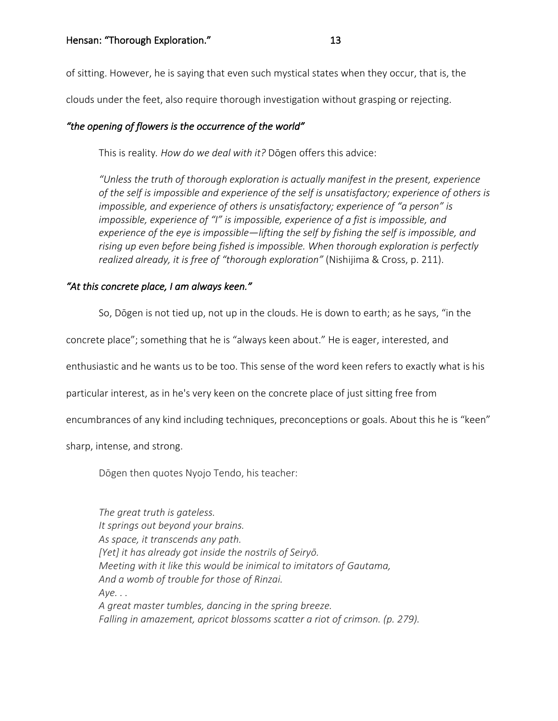of sitting. However, he is saying that even such mystical states when they occur, that is, the

clouds under the feet, also require thorough investigation without grasping or rejecting.

# *"the opening of flowers is the occurrence of the world"*

This is reality*. How do we deal with it?* Dōgen offers this advice:

*"Unless the truth of thorough exploration is actually manifest in the present, experience of the self is impossible and experience of the self is unsatisfactory; experience of others is impossible, and experience of others is unsatisfactory; experience of "a person" is impossible, experience of "I" is impossible, experience of a fist is impossible, and experience of the eye is impossible—lifting the self by fishing the self is impossible, and rising up even before being fished is impossible. When thorough exploration is perfectly realized already, it is free of "thorough exploration"* (Nishijima & Cross, p. 211).

# *"At this concrete place, I am always keen."*

So, Dōgen is not tied up, not up in the clouds. He is down to earth; as he says, "in the

concrete place"; something that he is "always keen about." He is eager, interested, and

enthusiastic and he wants us to be too. This sense of the word keen refers to exactly what is his

particular interest, as in he's very keen on the concrete place of just sitting free from

encumbrances of any kind including techniques, preconceptions or goals. About this he is "keen"

sharp, intense, and strong.

Dōgen then quotes Nyojo Tendo, his teacher:

*The great truth is gateless. It springs out beyond your brains. As space, it transcends any path. [Yet] it has already got inside the nostrils of Seiryō. Meeting with it like this would be inimical to imitators of Gautama, And a womb of trouble for those of Rinzai. Aye. . . A great master tumbles, dancing in the spring breeze. Falling in amazement, apricot blossoms scatter a riot of crimson. (p. 279).*